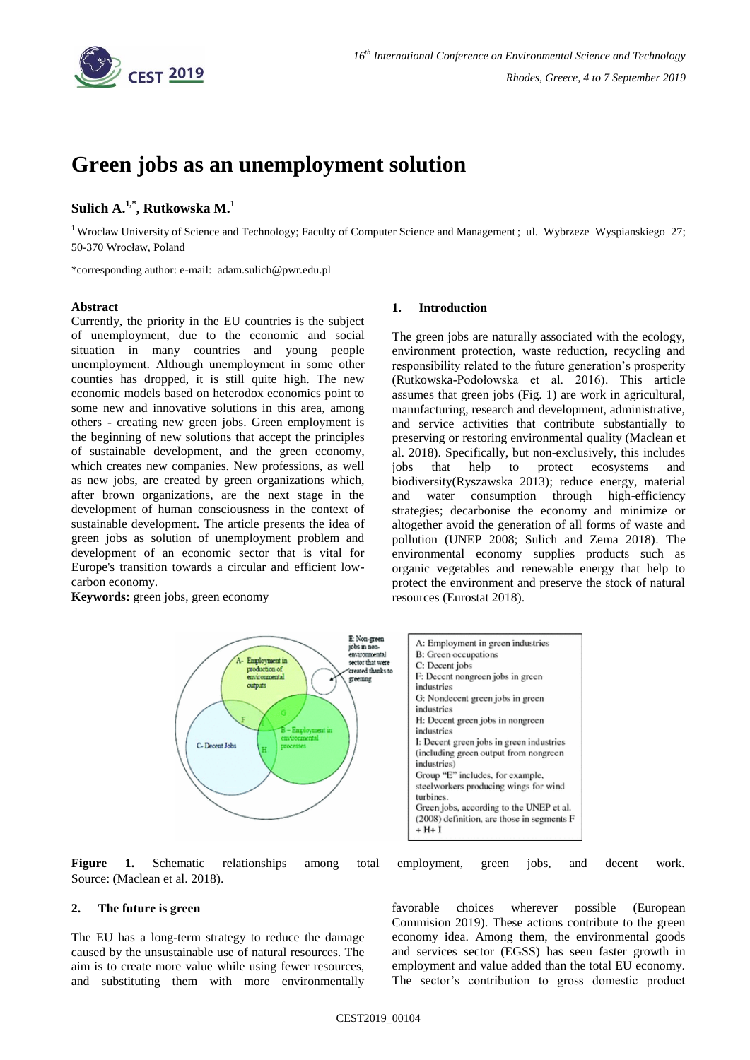

# **Green jobs as an unemployment solution**

## **Sulich A.1,\* , Rutkowska M. 1**

<sup>1</sup> Wroclaw University of Science and Technology; Faculty of Computer Science and Management; ul. Wybrzeze Wyspianskiego 27; 50-370 Wrocław, Poland

\*corresponding author: e-mail: [adam.sulich@pwr.edu.pl](mailto:adam.sulich@pwr.edu.pl)

### **Abstract**

Currently, the priority in the EU countries is the subject of unemployment, due to the economic and social situation in many countries and young people unemployment. Although unemployment in some other counties has dropped, it is still quite high. The new economic models based on heterodox economics point to some new and innovative solutions in this area, among others - creating new green jobs. Green employment is the beginning of new solutions that accept the principles of sustainable development, and the green economy, which creates new companies. New professions, as well as new jobs, are created by green organizations which, after brown organizations, are the next stage in the development of human consciousness in the context of sustainable development. The article presents the idea of green jobs as solution of unemployment problem and development of an economic sector that is vital for Europe's transition towards a circular and efficient lowcarbon economy.

**Keywords:** green jobs, green economy

### **1. Introduction**

The green jobs are naturally associated with the ecology, environment protection, waste reduction, recycling and responsibility related to the future generation's prosperity (Rutkowska-Podołowska et al. 2016). This article assumes that green jobs (Fig. 1) are work in agricultural, manufacturing, research and development, administrative, and service activities that contribute substantially to preserving or restoring environmental quality (Maclean et al. 2018). Specifically, but non-exclusively, this includes jobs that help to protect ecosystems and biodiversity(Ryszawska 2013); reduce energy, material and water consumption through high-efficiency strategies; decarbonise the economy and minimize or altogether avoid the generation of all forms of waste and pollution (UNEP 2008; Sulich and Zema 2018). The environmental economy supplies products such as organic vegetables and renewable energy that help to protect the environment and preserve the stock of natural resources (Eurostat 2018).



**Figure 1.** Schematic relationships among total employment, green jobs, and decent work. Source: (Maclean et al. 2018).

### **2. The future is green**

The EU has a long-term strategy to reduce the damage caused by the unsustainable use of natural resources. The aim is to create more value while using fewer resources, and substituting them with more environmentally

favorable choices wherever possible (European Commision 2019). These actions contribute to the green economy idea. Among them, the environmental goods and services sector (EGSS) has seen faster growth in employment and value added than the total EU economy. The sector's contribution to gross domestic product